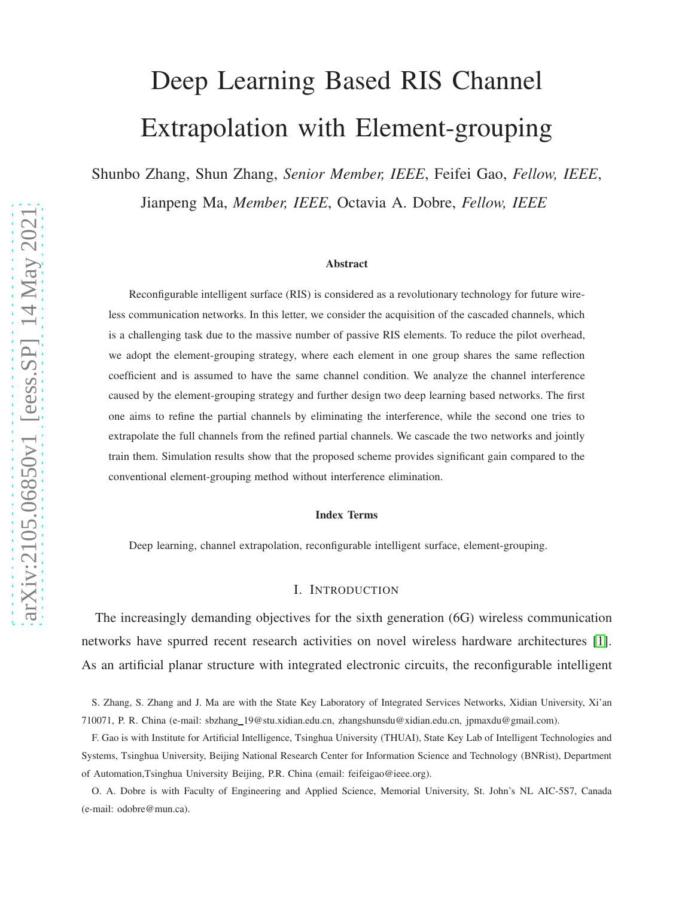# Deep Learning Based RIS Channel Extrapolation with Element-grouping

Shunbo Zhang, Shun Zhang, *Senior Member, IEEE*, Feifei Gao, *Fellow, IEEE*, Jianpeng Ma, *Member, IEEE*, Octavia A. Dobre, *Fellow, IEEE*

#### Abstract

Reconfigurable intelligent surface (RIS) is considered as a revolutionary technology for future wireless communication networks. In this letter, we consider the acquisition of the cascaded channels, which is a challenging task due to the massive number of passive RIS elements. To reduce the pilot overhead, we adopt the element-grouping strategy, where each element in one group shares the same reflection coefficient and is assumed to have the same channel condition. We analyze the channel interference caused by the element-grouping strategy and further design two deep learning based networks. The first one aims to refine the partial channels by eliminating the interference, while the second one tries to extrapolate the full channels from the refined partial channels. We cascade the two networks and jointly train them. Simulation results show that the proposed scheme provides significant gain compared to the conventional element-grouping method without interference elimination.

#### Index Terms

Deep learning, channel extrapolation, reconfigurable intelligent surface, element-grouping.

#### I. INTRODUCTION

The increasingly demanding objectives for the sixth generation (6G) wireless communication networks have spurred recent research activities on novel wireless hardware architectures [\[1\]](#page-12-0). As an artificial planar structure with integrated electronic circuits, the reconfigurable intelligent

S. Zhang, S. Zhang and J. Ma are with the State Key Laboratory of Integrated Services Networks, Xidian University, Xi'an 710071, P. R. China (e-mail: sbzhang 19@stu.xidian.edu.cn, zhangshunsdu@xidian.edu.cn, jpmaxdu@gmail.com).

F. Gao is with Institute for Artificial Intelligence, Tsinghua University (THUAI), State Key Lab of Intelligent Technologies and Systems, Tsinghua University, Beijing National Research Center for Information Science and Technology (BNRist), Department of Automation,Tsinghua University Beijing, P.R. China (email: feifeigao@ieee.org).

O. A. Dobre is with Faculty of Engineering and Applied Science, Memorial University, St. John's NL AIC-5S7, Canada (e-mail: odobre@mun.ca).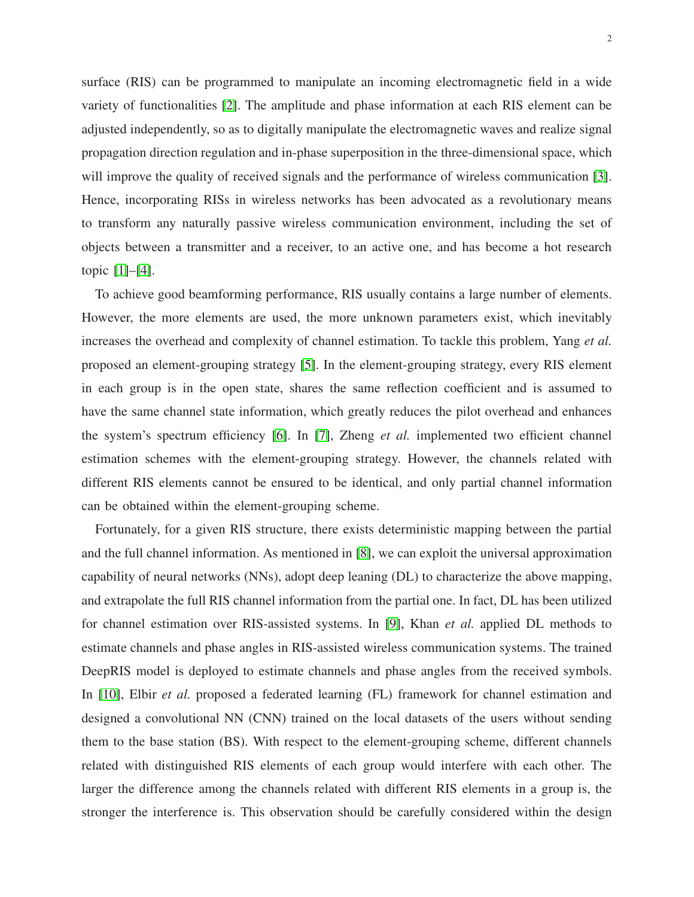surface (RIS) can be programmed to manipulate an incoming electromagnetic field in a wide variety of functionalities [\[2\]](#page-12-1). The amplitude and phase information at each RIS element can be adjusted independently, so as to digitally manipulate the electromagnetic waves and realize signal propagation direction regulation and in-phase superposition in the three-dimensional space, which will improve the quality of received signals and the performance of wireless communication [\[3\]](#page-12-2). Hence, incorporating RISs in wireless networks has been advocated as a revolutionary means to transform any naturally passive wireless communication environment, including the set of objects between a transmitter and a receiver, to an active one, and has become a hot research topic [\[1\]](#page-12-0)–[\[4\]](#page-12-3).

To achieve good beamforming performance, RIS usually contains a large number of elements. However, the more elements are used, the more unknown parameters exist, which inevitably increases the overhead and complexity of channel estimation. To tackle this problem, Yang *et al.* proposed an element-grouping strategy [\[5\]](#page-12-4). In the element-grouping strategy, every RIS element in each group is in the open state, shares the same reflection coefficient and is assumed to have the same channel state information, which greatly reduces the pilot overhead and enhances the system's spectrum efficiency [\[6\]](#page-12-5). In [\[7\]](#page-12-6), Zheng *et al.* implemented two efficient channel estimation schemes with the element-grouping strategy. However, the channels related with different RIS elements cannot be ensured to be identical, and only partial channel information can be obtained within the element-grouping scheme.

Fortunately, for a given RIS structure, there exists deterministic mapping between the partial and the full channel information. As mentioned in [\[8\]](#page-12-7), we can exploit the universal approximation capability of neural networks (NNs), adopt deep leaning (DL) to characterize the above mapping, and extrapolate the full RIS channel information from the partial one. In fact, DL has been utilized for channel estimation over RIS-assisted systems. In [\[9\]](#page-12-8), Khan *et al.* applied DL methods to estimate channels and phase angles in RIS-assisted wireless communication systems. The trained DeepRIS model is deployed to estimate channels and phase angles from the received symbols. In [\[10\]](#page-12-9), Elbir *et al.* proposed a federated learning (FL) framework for channel estimation and designed a convolutional NN (CNN) trained on the local datasets of the users without sending them to the base station (BS). With respect to the element-grouping scheme, different channels related with distinguished RIS elements of each group would interfere with each other. The larger the difference among the channels related with different RIS elements in a group is, the stronger the interference is. This observation should be carefully considered within the design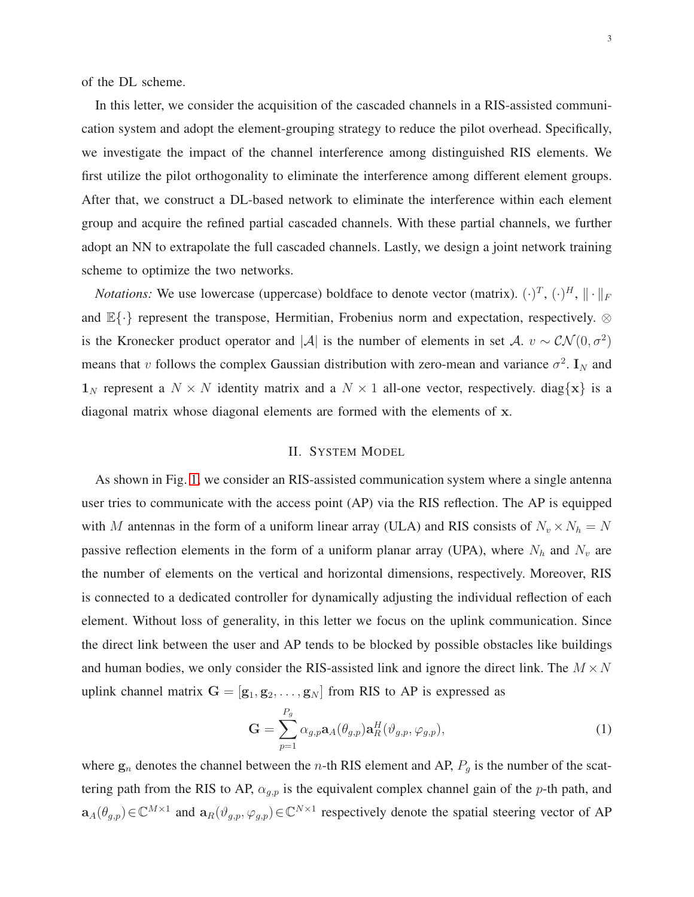of the DL scheme.

In this letter, we consider the acquisition of the cascaded channels in a RIS-assisted communication system and adopt the element-grouping strategy to reduce the pilot overhead. Specifically, we investigate the impact of the channel interference among distinguished RIS elements. We first utilize the pilot orthogonality to eliminate the interference among different element groups. After that, we construct a DL-based network to eliminate the interference within each element group and acquire the refined partial cascaded channels. With these partial channels, we further adopt an NN to extrapolate the full cascaded channels. Lastly, we design a joint network training scheme to optimize the two networks.

*Notations:* We use lowercase (uppercase) boldface to denote vector (matrix).  $(\cdot)^T$ ,  $(\cdot)^H$ ,  $\|\cdot\|_F$ and  $\mathbb{E}\{\cdot\}$  represent the transpose, Hermitian, Frobenius norm and expectation, respectively. ⊗ is the Kronecker product operator and |A| is the number of elements in set A.  $v \sim \mathcal{CN}(0, \sigma^2)$ means that v follows the complex Gaussian distribution with zero-mean and variance  $\sigma^2$ . I<sub>N</sub> and  $\mathbf{1}_N$  represent a  $N \times N$  identity matrix and a  $N \times 1$  all-one vector, respectively. diag{x} is a diagonal matrix whose diagonal elements are formed with the elements of x.

# II. SYSTEM MODEL

As shown in Fig. [1,](#page-3-0) we consider an RIS-assisted communication system where a single antenna user tries to communicate with the access point (AP) via the RIS reflection. The AP is equipped with M antennas in the form of a uniform linear array (ULA) and RIS consists of  $N_v \times N_h = N$ passive reflection elements in the form of a uniform planar array (UPA), where  $N_h$  and  $N_v$  are the number of elements on the vertical and horizontal dimensions, respectively. Moreover, RIS is connected to a dedicated controller for dynamically adjusting the individual reflection of each element. Without loss of generality, in this letter we focus on the uplink communication. Since the direct link between the user and AP tends to be blocked by possible obstacles like buildings and human bodies, we only consider the RIS-assisted link and ignore the direct link. The  $M \times N$ uplink channel matrix  $G = [g_1, g_2, \dots, g_N]$  from RIS to AP is expressed as

$$
\mathbf{G} = \sum_{p=1}^{P_g} \alpha_{g,p} \mathbf{a}_A(\theta_{g,p}) \mathbf{a}_R^H(\vartheta_{g,p}, \varphi_{g,p}), \qquad (1)
$$

where  $g_n$  denotes the channel between the *n*-th RIS element and AP,  $P_g$  is the number of the scattering path from the RIS to AP,  $\alpha_{g,p}$  is the equivalent complex channel gain of the p-th path, and  $a_A(\theta_{g,p}) \in \mathbb{C}^{M \times 1}$  and  $a_R(\vartheta_{g,p}, \varphi_{g,p}) \in \mathbb{C}^{N \times 1}$  respectively denote the spatial steering vector of AP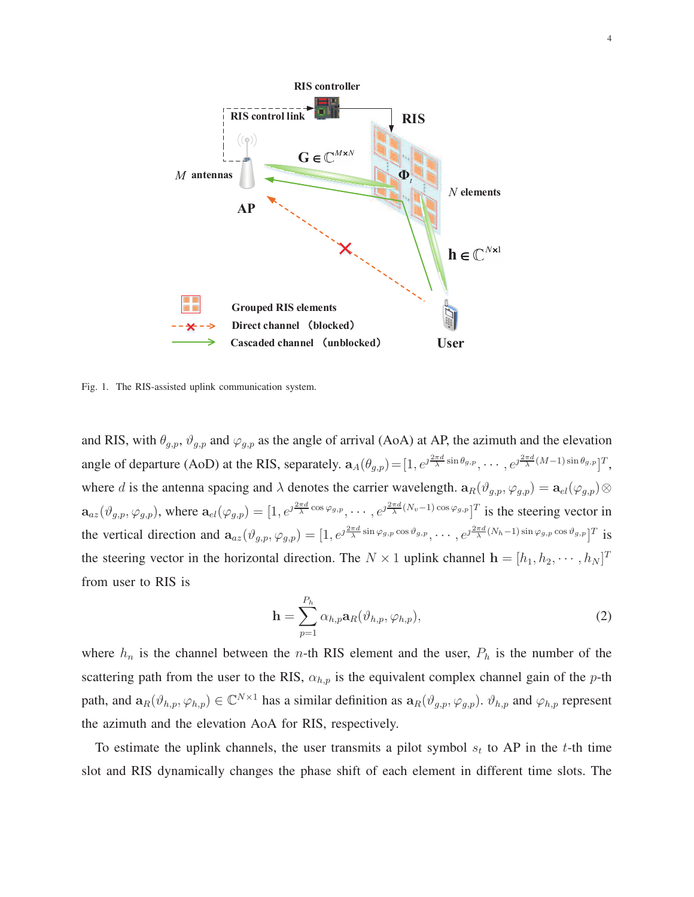

<span id="page-3-0"></span>Fig. 1. The RIS-assisted uplink communication system.

and RIS, with  $\theta_{g,p}$ ,  $\vartheta_{g,p}$  and  $\varphi_{g,p}$  as the angle of arrival (AoA) at AP, the azimuth and the elevation angle of departure (AoD) at the RIS, separately.  $\mathbf{a}_A(\theta_{g,p}) = [1, e^{\jmath \frac{2\pi d}{\lambda} \sin \theta_{g,p}}, \cdots, e^{\jmath \frac{2\pi d}{\lambda} (M-1) \sin \theta_{g,p}}]^T$ , where d is the antenna spacing and  $\lambda$  denotes the carrier wavelength.  $\mathbf{a}_{R}(\vartheta_{g,p}, \varphi_{g,p}) = \mathbf{a}_{el}(\varphi_{g,p})\otimes$  $\mathbf{a}_{az}(\vartheta_{g,p},\varphi_{g,p})$ , where  $\mathbf{a}_{el}(\varphi_{g,p}) = [1,e^{\jmath\frac{2\pi d}{\lambda}\cos\varphi_{g,p}},\cdots,e^{\jmath\frac{2\pi d}{\lambda}(N_v-1)\cos\varphi_{g,p}}]^T$  is the steering vector in the vertical direction and  $\mathbf{a}_{az}(\vartheta_{g,p}, \varphi_{g,p}) = [1, e^{\jmath \frac{2\pi d}{\lambda} \sin \varphi_{g,p} \cos \vartheta_{g,p}}, \cdots, e^{\jmath \frac{2\pi d}{\lambda}(N_h-1) \sin \varphi_{g,p} \cos \vartheta_{g,p}}]^T$  is the steering vector in the horizontal direction. The  $N \times 1$  uplink channel  $\mathbf{h} = [h_1, h_2, \dots, h_N]^T$ from user to RIS is

$$
\mathbf{h} = \sum_{p=1}^{P_h} \alpha_{h,p} \mathbf{a}_R(\vartheta_{h,p}, \varphi_{h,p}),
$$
\n(2)

where  $h_n$  is the channel between the *n*-th RIS element and the user,  $P_h$  is the number of the scattering path from the user to the RIS,  $\alpha_{h,p}$  is the equivalent complex channel gain of the p-th path, and  $\mathbf{a}_R(\vartheta_{h,p}, \varphi_{h,p}) \in \mathbb{C}^{N \times 1}$  has a similar definition as  $\mathbf{a}_R(\vartheta_{g,p}, \varphi_{g,p})$ .  $\vartheta_{h,p}$  and  $\varphi_{h,p}$  represent the azimuth and the elevation AoA for RIS, respectively.

To estimate the uplink channels, the user transmits a pilot symbol  $s_t$  to AP in the t-th time slot and RIS dynamically changes the phase shift of each element in different time slots. The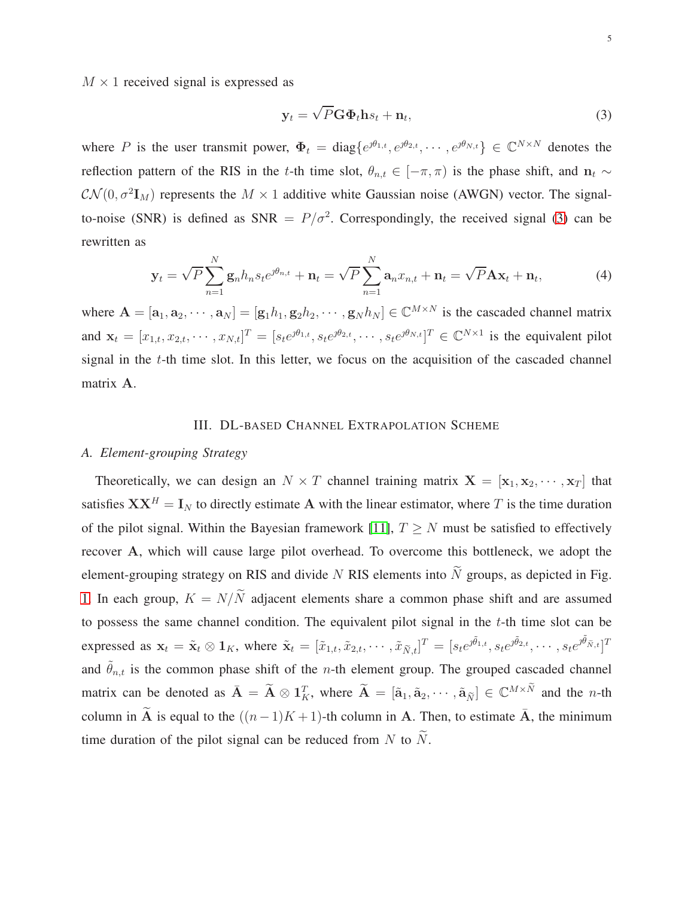$M \times 1$  received signal is expressed as

<span id="page-4-1"></span><span id="page-4-0"></span>
$$
\mathbf{y}_t = \sqrt{P} \mathbf{G} \Phi_t \mathbf{h} s_t + \mathbf{n}_t, \tag{3}
$$

where P is the user transmit power,  $\Phi_t = \text{diag}\{e^{\jmath \theta_{1,t}}, e^{\jmath \theta_{2,t}}, \cdots, e^{\jmath \theta_{N,t}}\} \in \mathbb{C}^{N \times N}$  denotes the reflection pattern of the RIS in the t-th time slot,  $\theta_{n,t} \in [-\pi,\pi)$  is the phase shift, and  $n_t \sim$  $\mathcal{CN}(0, \sigma^2 \mathbf{I}_M)$  represents the  $M \times 1$  additive white Gaussian noise (AWGN) vector. The signalto-noise (SNR) is defined as SNR =  $P/\sigma^2$ . Correspondingly, the received signal [\(3\)](#page-4-0) can be rewritten as

$$
\mathbf{y}_t = \sqrt{P} \sum_{n=1}^N \mathbf{g}_n h_n s_t e^{j\theta_{n,t}} + \mathbf{n}_t = \sqrt{P} \sum_{n=1}^N \mathbf{a}_n x_{n,t} + \mathbf{n}_t = \sqrt{P} \mathbf{A} \mathbf{x}_t + \mathbf{n}_t,
$$
(4)

where  $A = [a_1, a_2, \cdots, a_N] = [g_1h_1, g_2h_2, \cdots, g_Nh_N] \in \mathbb{C}^{M \times N}$  is the cascaded channel matrix and  $\mathbf{x}_t = [x_{1,t}, x_{2,t}, \cdots, x_{N,t}]^T = [s_t e^{j\theta_{1,t}}, s_t e^{j\theta_{2,t}}, \cdots, s_t e^{j\theta_{N,t}}]^T \in \mathbb{C}^{N \times 1}$  is the equivalent pilot signal in the  $t$ -th time slot. In this letter, we focus on the acquisition of the cascaded channel matrix A.

# III. DL-BASED CHANNEL EXTRAPOLATION SCHEME

## <span id="page-4-2"></span>*A. Element-grouping Strategy*

Theoretically, we can design an  $N \times T$  channel training matrix  $X = [\mathbf{x}_1, \mathbf{x}_2, \cdots, \mathbf{x}_T]$  that satisfies  $\mathbf{X} \mathbf{X}^H = \mathbf{I}_N$  to directly estimate A with the linear estimator, where T is the time duration of the pilot signal. Within the Bayesian framework [\[11\]](#page-12-10),  $T \geq N$  must be satisfied to effectively recover A, which will cause large pilot overhead. To overcome this bottleneck, we adopt the element-grouping strategy on RIS and divide N RIS elements into  $\widetilde{N}$  groups, as depicted in Fig. [1.](#page-3-0) In each group,  $K = N/\tilde{N}$  adjacent elements share a common phase shift and are assumed to possess the same channel condition. The equivalent pilot signal in the  $t$ -th time slot can be expressed as  $\mathbf{x}_t = \tilde{\mathbf{x}}_t \otimes \mathbf{1}_K$ , where  $\tilde{\mathbf{x}}_t = [\tilde{x}_{1,t}, \tilde{x}_{2,t}, \cdots, \tilde{x}_{\tilde{N},t}]^T = [s_t e^{j\tilde{\theta}_{1,t}}, s_t e^{j\tilde{\theta}_{2,t}}, \cdots, s_t e^{j\tilde{\theta}_{\tilde{N},t}}]^T$ and  $\tilde{\theta}_{n,t}$  is the common phase shift of the *n*-th element group. The grouped cascaded channel matrix can be denoted as  $\bar{\mathbf{A}} = \tilde{\mathbf{A}} \otimes \mathbf{1}_K^T$ , where  $\tilde{\mathbf{A}} = [\tilde{\mathbf{a}}_1, \tilde{\mathbf{a}}_2, \cdots, \tilde{\mathbf{a}}_{\tilde{N}}] \in \mathbb{C}^{M \times \tilde{N}}$  and the *n*-th column in  $\widetilde{A}$  is equal to the  $((n-1)K+1)$ -th column in A. Then, to estimate  $\overline{A}$ , the minimum time duration of the pilot signal can be reduced from N to  $\widetilde{N}$ .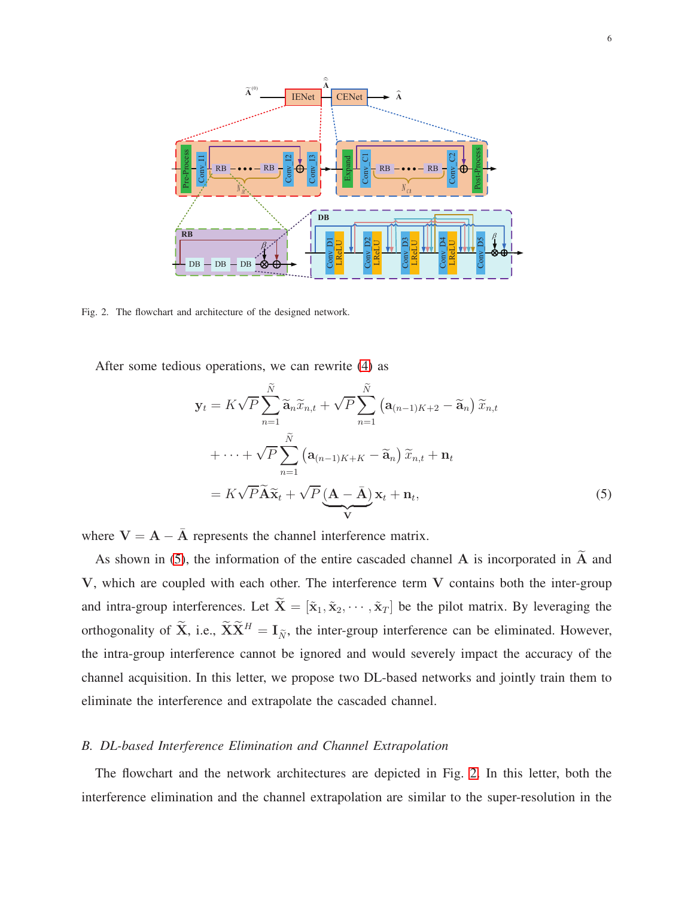

<span id="page-5-1"></span>Fig. 2. The flowchart and architecture of the designed network.

After some tedious operations, we can rewrite [\(4\)](#page-4-1) as

<span id="page-5-0"></span>
$$
\mathbf{y}_{t} = K\sqrt{P}\sum_{n=1}^{\widetilde{N}}\widetilde{\mathbf{a}}_{n}\widetilde{x}_{n,t} + \sqrt{P}\sum_{n=1}^{\widetilde{N}}\left(\mathbf{a}_{(n-1)K+2} - \widetilde{\mathbf{a}}_{n}\right)\widetilde{x}_{n,t} \n+ \cdots + \sqrt{P}\sum_{n=1}^{\widetilde{N}}\left(\mathbf{a}_{(n-1)K+K} - \widetilde{\mathbf{a}}_{n}\right)\widetilde{x}_{n,t} + \mathbf{n}_{t} \n= K\sqrt{P}\widetilde{\mathbf{A}}\widetilde{\mathbf{x}}_{t} + \sqrt{P}\underbrace{(\mathbf{A} - \bar{\mathbf{A}})}_{\mathbf{V}}\mathbf{x}_{t} + \mathbf{n}_{t},
$$
\n(5)

where  $V = A - \bar{A}$  represents the channel interference matrix.

As shown in [\(5\)](#page-5-0), the information of the entire cascaded channel A is incorporated in  $\widetilde{A}$  and V, which are coupled with each other. The interference term V contains both the inter-group and intra-group interferences. Let  $\tilde{\mathbf{X}} = [\tilde{\mathbf{x}}_1, \tilde{\mathbf{x}}_2, \cdots, \tilde{\mathbf{x}}_T]$  be the pilot matrix. By leveraging the orthogonality of  $\widetilde{\mathbf{X}}$ , i.e.,  $\widetilde{\mathbf{X}}\widetilde{\mathbf{X}}^H = \mathbf{I}_{\widetilde{N}}$ , the inter-group interference can be eliminated. However, the intra-group interference cannot be ignored and would severely impact the accuracy of the channel acquisition. In this letter, we propose two DL-based networks and jointly train them to eliminate the interference and extrapolate the cascaded channel.

#### *B. DL-based Interference Elimination and Channel Extrapolation*

The flowchart and the network architectures are depicted in Fig. [2.](#page-5-1) In this letter, both the interference elimination and the channel extrapolation are similar to the super-resolution in the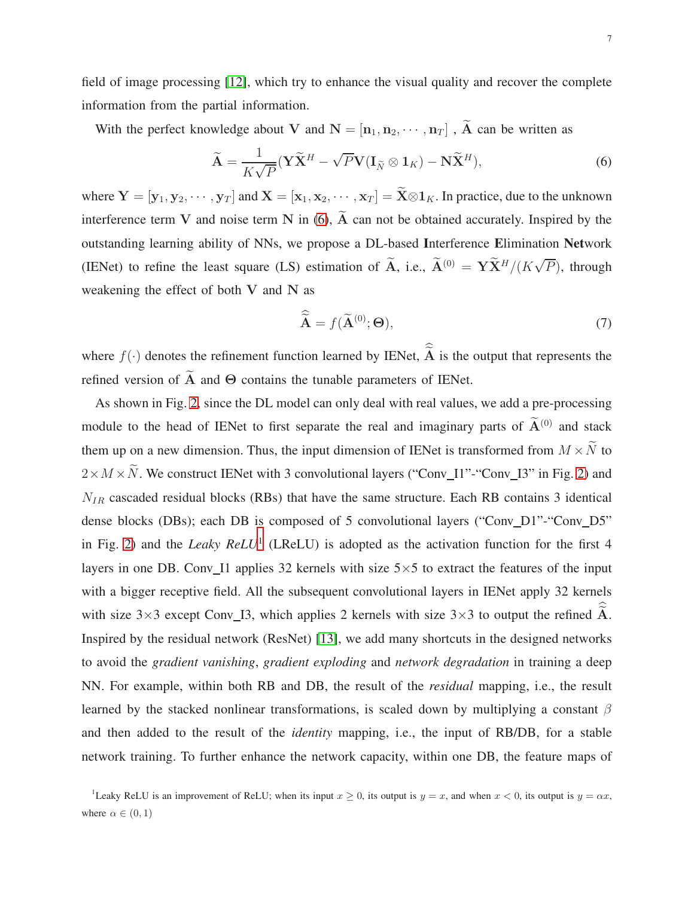field of image processing [\[12\]](#page-12-11), which try to enhance the visual quality and recover the complete information from the partial information.

With the perfect knowledge about V and  $N = [\mathbf{n}_1, \mathbf{n}_2, \cdots, \mathbf{n}_T]$ ,  $\widetilde{A}$  can be written as

$$
\widetilde{\mathbf{A}} = \frac{1}{K\sqrt{P}} (\mathbf{Y}\widetilde{\mathbf{X}}^H - \sqrt{P}\mathbf{V}(\mathbf{I}_{\widetilde{N}} \otimes \mathbf{1}_K) - \mathbf{N}\widetilde{\mathbf{X}}^H),
$$
\n(6)

where  $Y = [\mathbf{y}_1, \mathbf{y}_2, \cdots, \mathbf{y}_T]$  and  $\mathbf{X} = [\mathbf{x}_1, \mathbf{x}_2, \cdots, \mathbf{x}_T] = \widetilde{\mathbf{X}} \otimes \mathbf{1}_K$ . In practice, due to the unknown interference term V and noise term N in  $(6)$ ,  $\widetilde{A}$  can not be obtained accurately. Inspired by the outstanding learning ability of NNs, we propose a DL-based Interference Elimination Network (IENet) to refine the least square (LS) estimation of  $\tilde{A}$ , i.e.,  $\tilde{A}^{(0)} = Y \tilde{X}^H / (K \sqrt{P})$ , through weakening the effect of both V and N as

<span id="page-6-0"></span>
$$
\widehat{\widetilde{\mathbf{A}}} = f(\widetilde{\mathbf{A}}^{(0)}; \Theta),\tag{7}
$$

where  $f(\cdot)$  denotes the refinement function learned by IENet,  $\widetilde{A}$  is the output that represents the refined version of  $\widetilde{A}$  and  $\Theta$  contains the tunable parameters of IENet.

As shown in Fig. [2,](#page-5-1) since the DL model can only deal with real values, we add a pre-processing module to the head of IENet to first separate the real and imaginary parts of  $\widetilde{A}^{(0)}$  and stack them up on a new dimension. Thus, the input dimension of IENet is transformed from  $M \times \tilde{N}$  to  $2 \times M \times \tilde{N}$ . We construct IENet with 3 convolutional layers ("Conv\_I1"-"Conv\_I3" in Fig. [2\)](#page-5-1) and  $N_{IR}$  cascaded residual blocks (RBs) that have the same structure. Each RB contains 3 identical dense blocks (DBs); each DB is composed of 5 convolutional layers ("Conv\_D1"-"Conv\_D5" in Fig. [2\)](#page-5-1) and the *Leaky ReLU*[1](#page-6-1) (LReLU) is adopted as the activation function for the first 4 layers in one DB. Conv\_I1 applies 32 kernels with size  $5\times 5$  to extract the features of the input with a bigger receptive field. All the subsequent convolutional layers in IENet apply 32 kernels with size  $3\times3$  except Conv I3, which applies 2 kernels with size  $3\times3$  to output the refined  $\widetilde{A}$ . Inspired by the residual network (ResNet) [\[13\]](#page-12-12), we add many shortcuts in the designed networks to avoid the *gradient vanishing*, *gradient exploding* and *network degradation* in training a deep NN. For example, within both RB and DB, the result of the *residual* mapping, i.e., the result learned by the stacked nonlinear transformations, is scaled down by multiplying a constant  $\beta$ and then added to the result of the *identity* mapping, i.e., the input of RB/DB, for a stable network training. To further enhance the network capacity, within one DB, the feature maps of

<span id="page-6-1"></span><sup>&</sup>lt;sup>1</sup>Leaky ReLU is an improvement of ReLU; when its input  $x \ge 0$ , its output is  $y = x$ , and when  $x < 0$ , its output is  $y = \alpha x$ , where  $\alpha \in (0,1)$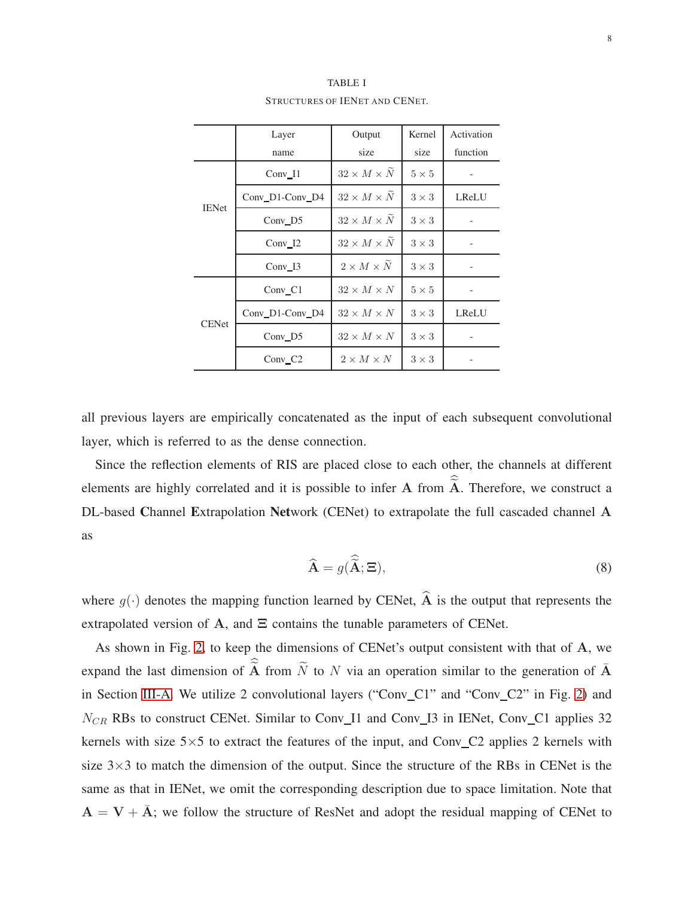<span id="page-7-0"></span>

|              | Layer               | Output                 | Kernel       | Activation |
|--------------|---------------------|------------------------|--------------|------------|
|              | name                | size                   | size         | function   |
| <b>IENet</b> | $Conv_11$           | $32 \times M \times N$ | $5 \times 5$ |            |
|              | Conv_D1-Conv_D4     | $32 \times M \times N$ | $3 \times 3$ | LReLU      |
|              | Conv D <sub>5</sub> | $32 \times M \times N$ | $3 \times 3$ |            |
|              | $Conv_12$           | $32 \times M \times N$ | $3 \times 3$ |            |
|              | $Conv_13$           | $2 \times M \times N$  | $3 \times 3$ |            |
| <b>CENet</b> | $Conv_C1$           | $32 \times M \times N$ | $5 \times 5$ |            |
|              | Conv D1-Conv D4     | $32 \times M \times N$ | $3 \times 3$ | LReLU      |
|              | $Conv_D5$           | $32 \times M \times N$ | $3 \times 3$ |            |
|              | Conv C <sub>2</sub> | $2 \times M \times N$  | $3 \times 3$ |            |

TABLE I STRUCTURES OF IENET AND CENET.

all previous layers are empirically concatenated as the input of each subsequent convolutional layer, which is referred to as the dense connection.

Since the reflection elements of RIS are placed close to each other, the channels at different elements are highly correlated and it is possible to infer A from  $\widetilde{A}$ . Therefore, we construct a DL-based Channel Extrapolation Network (CENet) to extrapolate the full cascaded channel A as

$$
\widehat{\mathbf{A}} = g(\widehat{\widetilde{\mathbf{A}}}; \Xi),\tag{8}
$$

where  $q(\cdot)$  denotes the mapping function learned by CENet,  $\hat{A}$  is the output that represents the extrapolated version of A, and  $\Xi$  contains the tunable parameters of CENet.

As shown in Fig. [2,](#page-5-1) to keep the dimensions of CENet's output consistent with that of A, we expand the last dimension of  $\hat{A}$  from  $\tilde{N}$  to N via an operation similar to the generation of  $\tilde{A}$ in Section [III-A.](#page-4-2) We utilize 2 convolutional layers ("Conv\_C1" and "Conv\_C2" in Fig. [2\)](#page-5-1) and  $N_{CR}$  RBs to construct CENet. Similar to Conv I1 and Conv I3 in IENet, Conv C1 applies 32 kernels with size  $5\times 5$  to extract the features of the input, and Conv C2 applies 2 kernels with size  $3\times3$  to match the dimension of the output. Since the structure of the RBs in CENet is the same as that in IENet, we omit the corresponding description due to space limitation. Note that  $A = V + \overline{A}$ ; we follow the structure of ResNet and adopt the residual mapping of CENet to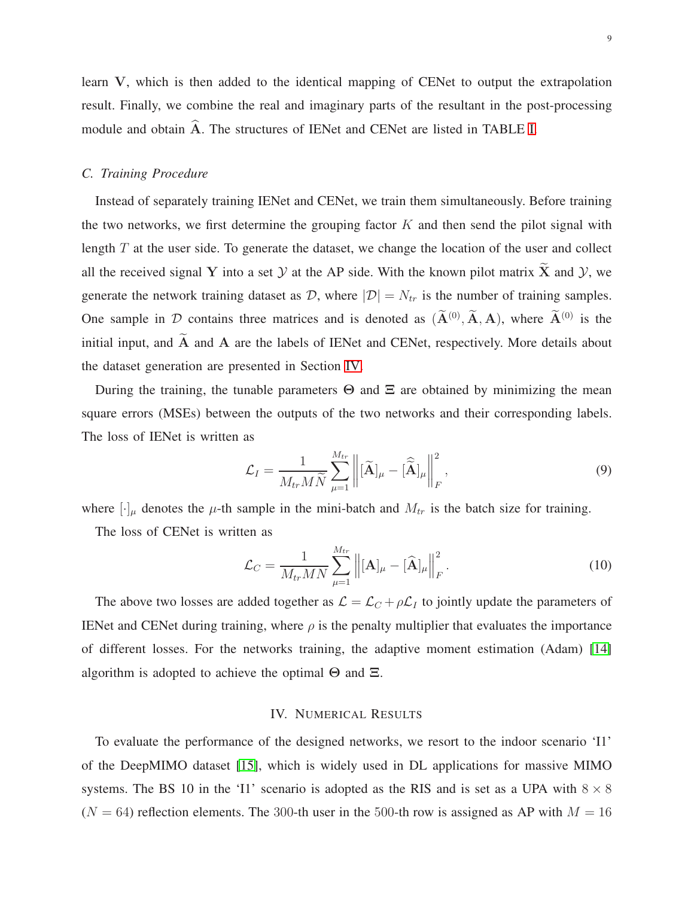learn V, which is then added to the identical mapping of CENet to output the extrapolation result. Finally, we combine the real and imaginary parts of the resultant in the post-processing module and obtain  $\widehat{A}$ . The structures of IENet and CENet are listed in TABLE [I.](#page-7-0)

### *C. Training Procedure*

Instead of separately training IENet and CENet, we train them simultaneously. Before training the two networks, we first determine the grouping factor  $K$  and then send the pilot signal with length  $T$  at the user side. To generate the dataset, we change the location of the user and collect all the received signal Y into a set  $Y$  at the AP side. With the known pilot matrix  $\tilde{X}$  and  $Y$ , we generate the network training dataset as  $\mathcal{D}$ , where  $|\mathcal{D}| = N_{tr}$  is the number of training samples. One sample in D contains three matrices and is denoted as  $(A^{(0)}, A, A)$ , where  $A^{(0)}$  is the initial input, and  $\widetilde{A}$  and  $A$  are the labels of IENet and CENet, respectively. More details about the dataset generation are presented in Section [IV.](#page-8-0)

During the training, the tunable parameters  $\Theta$  and  $\Xi$  are obtained by minimizing the mean square errors (MSEs) between the outputs of the two networks and their corresponding labels. The loss of IENet is written as

$$
\mathcal{L}_I = \frac{1}{M_{tr} M \widetilde{N}} \sum_{\mu=1}^{M_{tr}} \left\| [\widetilde{\mathbf{A}}]_{\mu} - [\widehat{\widetilde{\mathbf{A}}}]_{\mu} \right\|_F^2, \tag{9}
$$

where  $[\cdot]_{\mu}$  denotes the  $\mu$ -th sample in the mini-batch and  $M_{tr}$  is the batch size for training.

The loss of CENet is written as

$$
\mathcal{L}_C = \frac{1}{M_{tr}MN} \sum_{\mu=1}^{M_{tr}} \left\| [\mathbf{A}]_{\mu} - [\widehat{\mathbf{A}}]_{\mu} \right\|_F^2.
$$
 (10)

The above two losses are added together as  $\mathcal{L} = \mathcal{L}_C + \rho \mathcal{L}_I$  to jointly update the parameters of IENet and CENet during training, where  $\rho$  is the penalty multiplier that evaluates the importance of different losses. For the networks training, the adaptive moment estimation (Adam) [\[14\]](#page-13-0) algorithm is adopted to achieve the optimal  $\Theta$  and  $\Xi$ .

#### IV. NUMERICAL RESULTS

<span id="page-8-0"></span>To evaluate the performance of the designed networks, we resort to the indoor scenario 'I1' of the DeepMIMO dataset [\[15\]](#page-13-1), which is widely used in DL applications for massive MIMO systems. The BS 10 in the 'I1' scenario is adopted as the RIS and is set as a UPA with  $8 \times 8$  $(N = 64)$  reflection elements. The 300-th user in the 500-th row is assigned as AP with  $M = 16$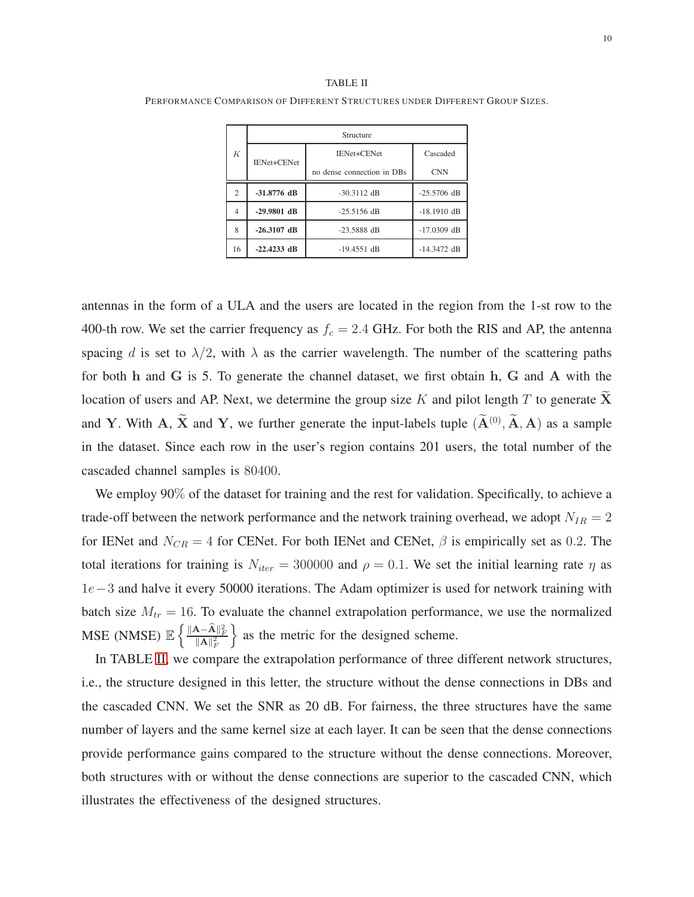#### TABLE II

<span id="page-9-0"></span>PERFORMANCE COMPARISON OF DIFFERENT STRUCTURES UNDER DIFFERENT GROUP SIZES.

| К              | Structure                      |                            |               |  |  |
|----------------|--------------------------------|----------------------------|---------------|--|--|
|                | IENet+CENet                    | <b>IENet+CENet</b>         | Cascaded      |  |  |
|                |                                | no dense connection in DBs | <b>CNN</b>    |  |  |
| $\overline{c}$ | $-31.8776$ dB<br>$-30.3112$ dB |                            | $-25.5706$ dB |  |  |
| 4              | $-29.9801$ dB                  | $-25.5156$ dB              | $-18.1910$ dB |  |  |
| 8              | $-26.3107$ dB                  | $-23.5888$ dB              |               |  |  |
| 16             | $-22.4233$ dB                  | $-19.4551$ dB              | $-14.3472$ dB |  |  |

antennas in the form of a ULA and the users are located in the region from the 1-st row to the 400-th row. We set the carrier frequency as  $f_c = 2.4$  GHz. For both the RIS and AP, the antenna spacing d is set to  $\lambda/2$ , with  $\lambda$  as the carrier wavelength. The number of the scattering paths for both h and G is 5. To generate the channel dataset, we first obtain h, G and A with the location of users and AP. Next, we determine the group size K and pilot length T to generate  $\overline{X}$ and Y. With A,  $\bar{X}$  and Y, we further generate the input-labels tuple  $(\bar{A}^{(0)}, \bar{A}, A)$  as a sample in the dataset. Since each row in the user's region contains 201 users, the total number of the cascaded channel samples is 80400.

We employ 90% of the dataset for training and the rest for validation. Specifically, to achieve a trade-off between the network performance and the network training overhead, we adopt  $N_{IR} = 2$ for IENet and  $N_{CR} = 4$  for CENet. For both IENet and CENet,  $\beta$  is empirically set as 0.2. The total iterations for training is  $N_{iter} = 300000$  and  $\rho = 0.1$ . We set the initial learning rate  $\eta$  as 1e−3 and halve it every 50000 iterations. The Adam optimizer is used for network training with batch size  $M_{tr} = 16$ . To evaluate the channel extrapolation performance, we use the normalized  $\text{MSE} \text{ (NMSE)} \mathbb{E} \left\{ \frac{\|\mathbf{A}-\mathbf{\widehat{A}}\|_F^2}{\|\mathbf{A}\|_F^2} \right.$ } as the metric for the designed scheme.

In TABLE [II,](#page-9-0) we compare the extrapolation performance of three different network structures, i.e., the structure designed in this letter, the structure without the dense connections in DBs and the cascaded CNN. We set the SNR as 20 dB. For fairness, the three structures have the same number of layers and the same kernel size at each layer. It can be seen that the dense connections provide performance gains compared to the structure without the dense connections. Moreover, both structures with or without the dense connections are superior to the cascaded CNN, which illustrates the effectiveness of the designed structures.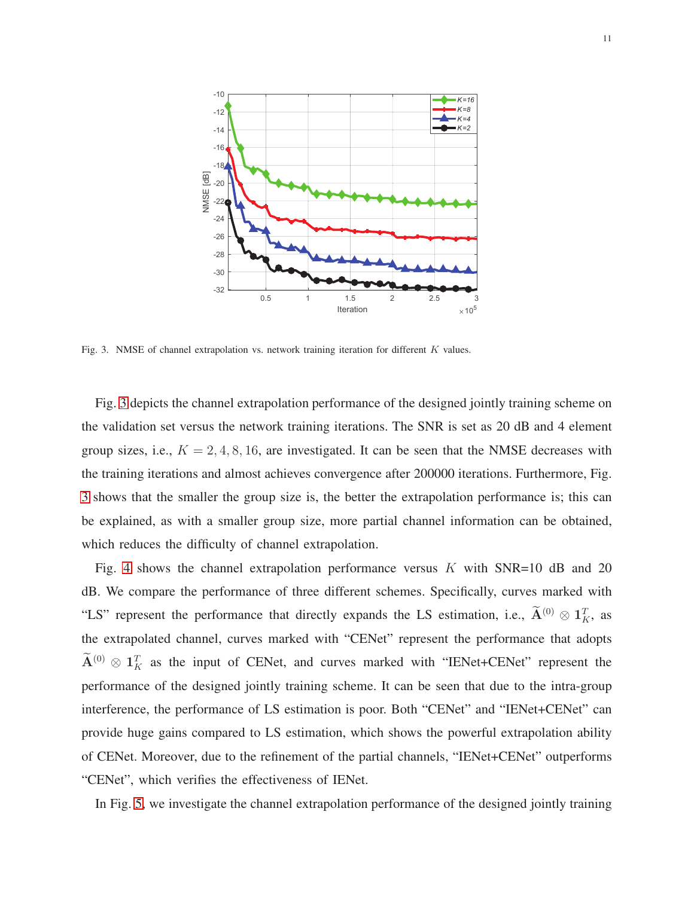

<span id="page-10-0"></span>Fig. 3. NMSE of channel extrapolation vs. network training iteration for different  $K$  values.

Fig. [3](#page-10-0) depicts the channel extrapolation performance of the designed jointly training scheme on the validation set versus the network training iterations. The SNR is set as 20 dB and 4 element group sizes, i.e.,  $K = 2, 4, 8, 16$ , are investigated. It can be seen that the NMSE decreases with the training iterations and almost achieves convergence after 200000 iterations. Furthermore, Fig. [3](#page-10-0) shows that the smaller the group size is, the better the extrapolation performance is; this can be explained, as with a smaller group size, more partial channel information can be obtained, which reduces the difficulty of channel extrapolation.

Fig. [4](#page-11-0) shows the channel extrapolation performance versus  $K$  with SNR=10 dB and 20 dB. We compare the performance of three different schemes. Specifically, curves marked with "LS" represent the performance that directly expands the LS estimation, i.e.,  $\mathbf{\tilde{A}}^{(0)} \otimes \mathbf{1}_K^T$ , as the extrapolated channel, curves marked with "CENet" represent the performance that adopts  $\mathbf{A}^{(0)} \otimes \mathbf{1}_K^T$  as the input of CENet, and curves marked with "IENet+CENet" represent the performance of the designed jointly training scheme. It can be seen that due to the intra-group interference, the performance of LS estimation is poor. Both "CENet" and "IENet+CENet" can provide huge gains compared to LS estimation, which shows the powerful extrapolation ability of CENet. Moreover, due to the refinement of the partial channels, "IENet+CENet" outperforms "CENet", which verifies the effectiveness of IENet.

In Fig. [5,](#page-11-1) we investigate the channel extrapolation performance of the designed jointly training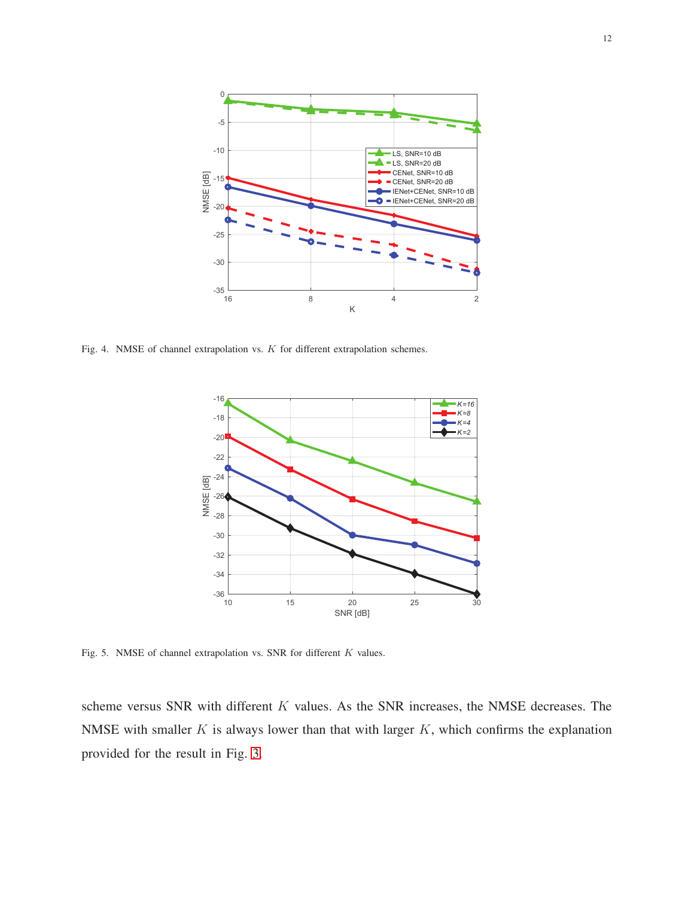

<span id="page-11-0"></span>Fig. 4. NMSE of channel extrapolation vs. K for different extrapolation schemes.



<span id="page-11-1"></span>Fig. 5. NMSE of channel extrapolation vs. SNR for different K values.

scheme versus SNR with different K values. As the SNR increases, the NMSE decreases. The NMSE with smaller  $K$  is always lower than that with larger  $K$ , which confirms the explanation provided for the result in Fig. [3.](#page-10-0)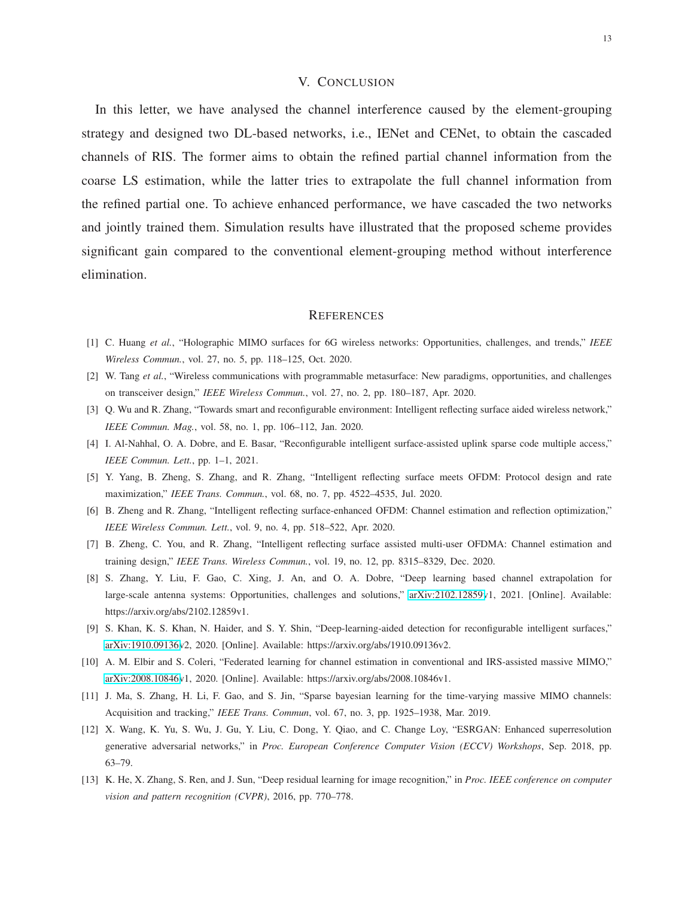## V. CONCLUSION

In this letter, we have analysed the channel interference caused by the element-grouping strategy and designed two DL-based networks, i.e., IENet and CENet, to obtain the cascaded channels of RIS. The former aims to obtain the refined partial channel information from the coarse LS estimation, while the latter tries to extrapolate the full channel information from the refined partial one. To achieve enhanced performance, we have cascaded the two networks and jointly trained them. Simulation results have illustrated that the proposed scheme provides significant gain compared to the conventional element-grouping method without interference elimination.

#### **REFERENCES**

- <span id="page-12-1"></span><span id="page-12-0"></span>[1] C. Huang *et al.*, "Holographic MIMO surfaces for 6G wireless networks: Opportunities, challenges, and trends," *IEEE Wireless Commun.*, vol. 27, no. 5, pp. 118–125, Oct. 2020.
- <span id="page-12-2"></span>[2] W. Tang *et al.*, "Wireless communications with programmable metasurface: New paradigms, opportunities, and challenges on transceiver design," *IEEE Wireless Commun.*, vol. 27, no. 2, pp. 180–187, Apr. 2020.
- <span id="page-12-3"></span>[3] Q. Wu and R. Zhang, "Towards smart and reconfigurable environment: Intelligent reflecting surface aided wireless network," *IEEE Commun. Mag.*, vol. 58, no. 1, pp. 106–112, Jan. 2020.
- <span id="page-12-4"></span>[4] I. Al-Nahhal, O. A. Dobre, and E. Basar, "Reconfigurable intelligent surface-assisted uplink sparse code multiple access," *IEEE Commun. Lett.*, pp. 1–1, 2021.
- <span id="page-12-5"></span>[5] Y. Yang, B. Zheng, S. Zhang, and R. Zhang, "Intelligent reflecting surface meets OFDM: Protocol design and rate maximization," *IEEE Trans. Commun.*, vol. 68, no. 7, pp. 4522–4535, Jul. 2020.
- <span id="page-12-6"></span>[6] B. Zheng and R. Zhang, "Intelligent reflecting surface-enhanced OFDM: Channel estimation and reflection optimization," *IEEE Wireless Commun. Lett.*, vol. 9, no. 4, pp. 518–522, Apr. 2020.
- <span id="page-12-7"></span>[7] B. Zheng, C. You, and R. Zhang, "Intelligent reflecting surface assisted multi-user OFDMA: Channel estimation and training design," *IEEE Trans. Wireless Commun.*, vol. 19, no. 12, pp. 8315–8329, Dec. 2020.
- [8] S. Zhang, Y. Liu, F. Gao, C. Xing, J. An, and O. A. Dobre, "Deep learning based channel extrapolation for large-scale antenna systems: Opportunities, challenges and solutions," [arXiv:2102.12859v](http://arxiv.org/abs/2102.12859)1, 2021. [Online]. Available: https://arxiv.org/abs/2102.12859v1.
- <span id="page-12-9"></span><span id="page-12-8"></span>[9] S. Khan, K. S. Khan, N. Haider, and S. Y. Shin, "Deep-learning-aided detection for reconfigurable intelligent surfaces," [arXiv:1910.09136v](http://arxiv.org/abs/1910.09136)2, 2020. [Online]. Available: https://arxiv.org/abs/1910.09136v2.
- <span id="page-12-10"></span>[10] A. M. Elbir and S. Coleri, "Federated learning for channel estimation in conventional and IRS-assisted massive MIMO," [arXiv:2008.10846v](http://arxiv.org/abs/2008.10846)1, 2020. [Online]. Available: https://arxiv.org/abs/2008.10846v1.
- <span id="page-12-11"></span>[11] J. Ma, S. Zhang, H. Li, F. Gao, and S. Jin, "Sparse bayesian learning for the time-varying massive MIMO channels: Acquisition and tracking," *IEEE Trans. Commun*, vol. 67, no. 3, pp. 1925–1938, Mar. 2019.
- [12] X. Wang, K. Yu, S. Wu, J. Gu, Y. Liu, C. Dong, Y. Qiao, and C. Change Loy, "ESRGAN: Enhanced superresolution generative adversarial networks," in *Proc. European Conference Computer Vision (ECCV) Workshops*, Sep. 2018, pp. 63–79.
- <span id="page-12-12"></span>[13] K. He, X. Zhang, S. Ren, and J. Sun, "Deep residual learning for image recognition," in *Proc. IEEE conference on computer vision and pattern recognition (CVPR)*, 2016, pp. 770–778.